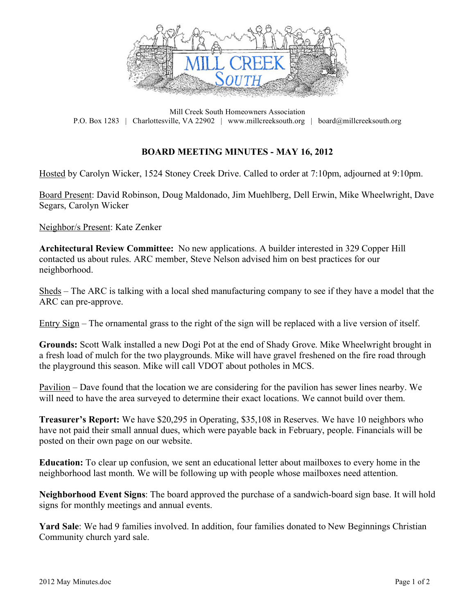

Mill Creek South Homeowners Association P.O. Box 1283 | Charlottesville, VA 22902 | www.millcreeksouth.org | board@millcreeksouth.org

## **BOARD MEETING MINUTES - MAY 16, 2012**

Hosted by Carolyn Wicker, 1524 Stoney Creek Drive. Called to order at 7:10pm, adjourned at 9:10pm.

Board Present: David Robinson, Doug Maldonado, Jim Muehlberg, Dell Erwin, Mike Wheelwright, Dave Segars, Carolyn Wicker

Neighbor/s Present: Kate Zenker

**Architectural Review Committee:** No new applications. A builder interested in 329 Copper Hill contacted us about rules. ARC member, Steve Nelson advised him on best practices for our neighborhood.

Sheds – The ARC is talking with a local shed manufacturing company to see if they have a model that the ARC can pre-approve.

Entry Sign – The ornamental grass to the right of the sign will be replaced with a live version of itself.

**Grounds:** Scott Walk installed a new Dogi Pot at the end of Shady Grove. Mike Wheelwright brought in a fresh load of mulch for the two playgrounds. Mike will have gravel freshened on the fire road through the playground this season. Mike will call VDOT about potholes in MCS.

Pavilion – Dave found that the location we are considering for the pavilion has sewer lines nearby. We will need to have the area surveyed to determine their exact locations. We cannot build over them.

**Treasurer's Report:** We have \$20,295 in Operating, \$35,108 in Reserves. We have 10 neighbors who have not paid their small annual dues, which were payable back in February, people. Financials will be posted on their own page on our website.

**Education:** To clear up confusion, we sent an educational letter about mailboxes to every home in the neighborhood last month. We will be following up with people whose mailboxes need attention.

**Neighborhood Event Signs**: The board approved the purchase of a sandwich-board sign base. It will hold signs for monthly meetings and annual events.

**Yard Sale**: We had 9 families involved. In addition, four families donated to New Beginnings Christian Community church yard sale.